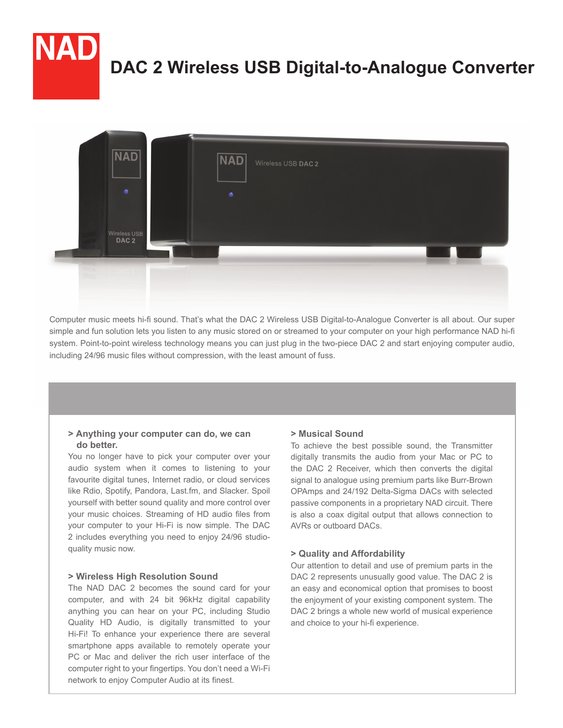# **DAC 2 Wireless USB Digital-to-Analogue Converter**



Computer music meets hi-fi sound. That's what the DAC 2 Wireless USB Digital-to-Analogue Converter is all about. Our super simple and fun solution lets you listen to any music stored on or streamed to your computer on your high performance NAD hi-fi system. Point-to-point wireless technology means you can just plug in the two-piece DAC 2 and start enjoying computer audio, including 24/96 music files without compression, with the least amount of fuss.

# **> Anything your computer can do, we can do better.**

You no longer have to pick your computer over your audio system when it comes to listening to your favourite digital tunes, Internet radio, or cloud services like Rdio, Spotify, Pandora, Last.fm, and Slacker. Spoil yourself with better sound quality and more control over your music choices. Streaming of HD audio files from your computer to your Hi-Fi is now simple. The DAC 2 includes everything you need to enjoy 24/96 studioquality music now.

### **> Wireless High Resolution Sound**

The NAD DAC 2 becomes the sound card for your computer, and with 24 bit 96kHz digital capability anything you can hear on your PC, including Studio Quality HD Audio, is digitally transmitted to your Hi-Fi! To enhance your experience there are several smartphone apps available to remotely operate your PC or Mac and deliver the rich user interface of the computer right to your fingertips. You don't need a Wi-Fi network to enjoy Computer Audio at its finest.

### **> Musical Sound**

To achieve the best possible sound, the Transmitter digitally transmits the audio from your Mac or PC to the DAC 2 Receiver, which then converts the digital signal to analogue using premium parts like Burr-Brown OPAmps and 24/192 Delta-Sigma DACs with selected passive components in a proprietary NAD circuit. There is also a coax digital output that allows connection to AVRs or outboard DACs.

### **> Quality and Affordability**

Our attention to detail and use of premium parts in the DAC 2 represents unusually good value. The DAC 2 is an easy and economical option that promises to boost the enjoyment of your existing component system. The DAC 2 brings a whole new world of musical experience and choice to your hi-fi experience.